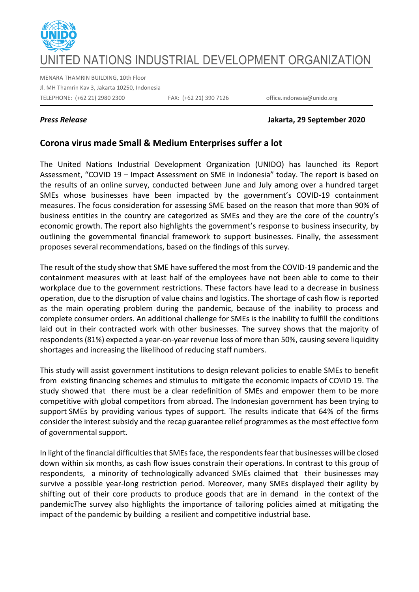

# ED NATIONS INDUSTRIAL DEVELOPMENT ORGANIZATION

MENARA THAMRIN BUILDING, 10th Floor Jl. MH Thamrin Kav 3, Jakarta 10250, Indonesia TELEPHONE: (+62 21) 2980 2300 FAX: (+62 21) 390 7126 office.indonesia@unido.org

### *Press Release* **Jakarta, 29 September 2020**

## **Corona virus made Small & Medium Enterprises suffer a lot**

The United Nations Industrial Development Organization (UNIDO) has launched its Report Assessment, "COVID 19 – Impact Assessment on SME in Indonesia" today. The report is based on the results of an online survey, conducted between June and July among over a hundred target SMEs whose businesses have been impacted by the government's COVID-19 containment measures. The focus consideration for assessing SME based on the reason that more than 90% of business entities in the country are categorized as SMEs and they are the core of the country's economic growth. The report also highlights the government's response to business insecurity, by outlining the governmental financial framework to support businesses. Finally, the assessment proposes several recommendations, based on the findings of this survey.

The result of the study show that SME have suffered the most from the COVID-19 pandemic and the containment measures with at least half of the employees have not been able to come to their workplace due to the government restrictions. These factors have lead to a decrease in business operation, due to the disruption of value chains and logistics. The shortage of cash flow is reported as the main operating problem during the pandemic, because of the inability to process and complete consumer orders. An additional challenge for SMEs is the inability to fulfill the conditions laid out in their contracted work with other businesses. The survey shows that the majority of respondents (81%) expected a year-on-year revenue loss of more than 50%, causing severe liquidity shortages and increasing the likelihood of reducing staff numbers.

This study will assist government institutions to design relevant policies to enable SMEs to benefit from existing financing schemes and stimulus to mitigate the economic impacts of COVID 19. The study showed that there must be a clear redefinition of SMEs and empower them to be more competitive with global competitors from abroad. The Indonesian government has been trying to support SMEs by providing various types of support. The results indicate that 64% of the firms consider the interest subsidy and the recap guarantee relief programmes as the most effective form of governmental support.

In light of the financial difficulties that SMEs face, the respondents fear that businesses will be closed down within six months, as cash flow issues constrain their operations. In contrast to this group of respondents, a minority of technologically advanced SMEs claimed that their businesses may survive a possible year-long restriction period. Moreover, many SMEs displayed their agility by shifting out of their core products to produce goods that are in demand in the context of the pandemicThe survey also highlights the importance of tailoring policies aimed at mitigating the impact of the pandemic by building a resilient and competitive industrial base.